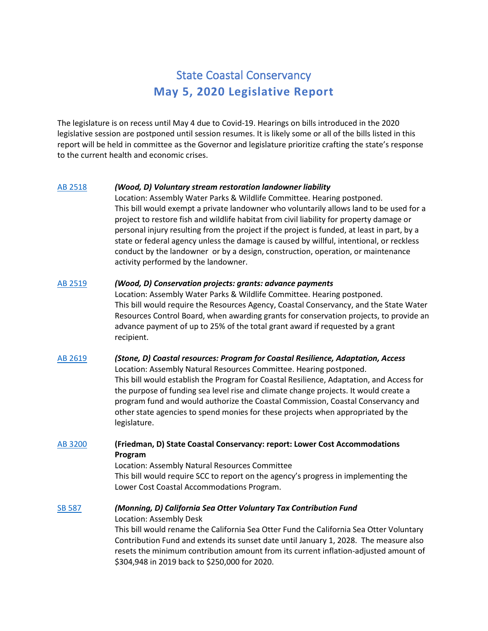# State Coastal Conservancy **May 5, 2020 Legislative Report**

The legislature is on recess until May 4 due to Covid-19. Hearings on bills introduced in the 2020 legislative session are postponed until session resumes. It is likely some or all of the bills listed in this report will be held in committee as the Governor and legislature prioritize crafting the state's response to the current health and economic crises.

## [AB 2518](http://leginfo.legislature.ca.gov/faces/billNavClient.xhtml?bill_id=201920200AB2518) *(Wood, D) Voluntary stream restoration landowner liability*

Location: Assembly Water Parks & Wildlife Committee. Hearing postponed. This bill would exempt a private landowner who voluntarily allows land to be used for a project to restore fish and wildlife habitat from civil liability for property damage or personal injury resulting from the project if the project is funded, at least in part, by a state or federal agency unless the damage is caused by willful, intentional, or reckless conduct by the landowner or by a design, construction, operation, or maintenance activity performed by the landowner.

#### [AB 2519](http://leginfo.legislature.ca.gov/faces/billNavClient.xhtml?bill_id=201920200AB2519) *(Wood, D) Conservation projects: grants: advance payments*

Location: Assembly Water Parks & Wildlife Committee. Hearing postponed. This bill would require the Resources Agency, Coastal Conservancy, and the State Water Resources Control Board, when awarding grants for conservation projects, to provide an advance payment of up to 25% of the total grant award if requested by a grant recipient.

# [AB 2619](http://leginfo.legislature.ca.gov/faces/billNavClient.xhtml?bill_id=201920200AB2619) *(Stone, D) Coastal resources: Program for Coastal Resilience, Adaptation, Access* Location: Assembly Natural Resources Committee. Hearing postponed. This bill would establish the Program for Coastal Resilience, Adaptation, and Access for the purpose of funding sea level rise and climate change projects. It would create a program fund and would authorize the Coastal Commission, Coastal Conservancy and other state agencies to spend monies for these projects when appropriated by the legislature.

## [AB 3200](http://leginfo.legislature.ca.gov/faces/billNavClient.xhtml?bill_id=201920200AB3200) **(Friedman, D) State Coastal Conservancy: report: Lower Cost Accommodations Program**

Location: Assembly Natural Resources Committee This bill would require SCC to report on the agency's progress in implementing the Lower Cost Coastal Accommodations Program.

## [SB 587](http://leginfo.legislature.ca.gov/faces/billNavClient.xhtml?bill_id=201920200SB587) *(Monning, D) California Sea Otter Voluntary Tax Contribution Fund*

#### Location: Assembly Desk

This bill would rename the California Sea Otter Fund the California Sea Otter Voluntary Contribution Fund and extends its sunset date until January 1, 2028. The measure also resets the minimum contribution amount from its current inflation-adjusted amount of \$304,948 in 2019 back to \$250,000 for 2020.